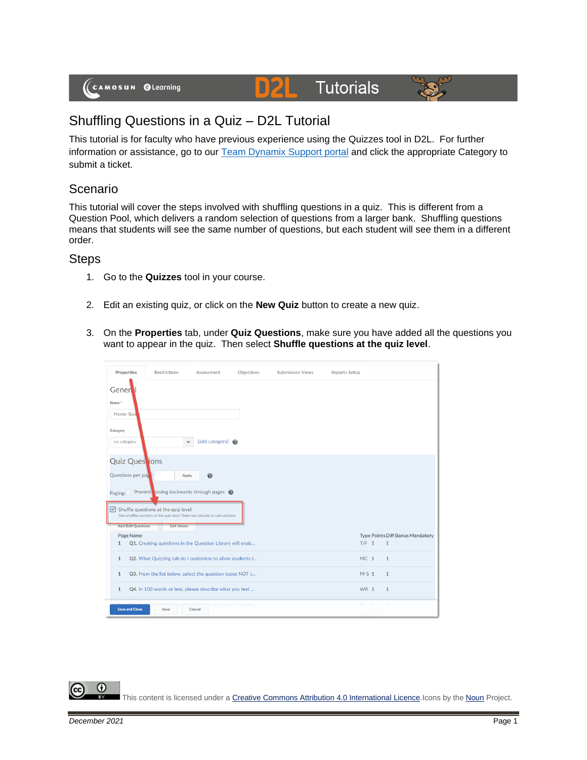# **Tutorials**



## Shuffling Questions in a Quiz – D2L Tutorial

This tutorial is for faculty who have previous experience using the Quizzes tool in D2L. For further information or assistance, go to our [Team Dynamix Support portal](https://camosun.teamdynamix.com/TDClient/67/Portal/Requests/ServiceCatalog?CategoryID=523) and click the appropriate Category to submit a ticket.

D

### Scenario

This tutorial will cover the steps involved with shuffling questions in a quiz. This is different from a Question Pool, which delivers a random selection of questions from a larger bank. Shuffling questions means that students will see the same number of questions, but each student will see them in a different order.

#### **Steps**

- 1. Go to the **Quizzes** tool in your course.
- 2. Edit an existing quiz, or click on the **New Quiz** button to create a new quiz.
- 3. On the **Properties** tab, under **Quiz Questions**, make sure you have added all the questions you want to appear in the quiz. Then select **Shuffle questions at the quiz level**.

|                                                                                                                               | <b>Properties</b>     | <b>Restrictions</b>                                      | Assessment                     | Objectives | <b>Submission Views</b> | <b>Reports Setup</b> |                                                         |  |  |  |  |  |
|-------------------------------------------------------------------------------------------------------------------------------|-----------------------|----------------------------------------------------------|--------------------------------|------------|-------------------------|----------------------|---------------------------------------------------------|--|--|--|--|--|
|                                                                                                                               | Gener                 |                                                          |                                |            |                         |                      |                                                         |  |  |  |  |  |
|                                                                                                                               | Name <sup>*</sup>     |                                                          |                                |            |                         |                      |                                                         |  |  |  |  |  |
|                                                                                                                               | Master Quiz           |                                                          |                                |            |                         |                      |                                                         |  |  |  |  |  |
|                                                                                                                               | Category              |                                                          |                                |            |                         |                      |                                                         |  |  |  |  |  |
|                                                                                                                               | no category           | $\checkmark$                                             | [add category] @               |            |                         |                      |                                                         |  |  |  |  |  |
|                                                                                                                               |                       | <b>Quiz Ques</b> jons                                    |                                |            |                         |                      |                                                         |  |  |  |  |  |
|                                                                                                                               |                       | Questions per page:<br>Apply                             | $\boldsymbol{\Theta}$          |            |                         |                      |                                                         |  |  |  |  |  |
|                                                                                                                               | Paging:               | Prevent noving backwards through pages @                 |                                |            |                         |                      |                                                         |  |  |  |  |  |
| $\bigcirc$ Shuffle questions at the quiz level<br>Also shuffles sections at the quiz level. Does not cascade to sub-sections. |                       |                                                          |                                |            |                         |                      |                                                         |  |  |  |  |  |
|                                                                                                                               |                       | <b>Add/Edit Questions</b><br><b>Edit Values</b>          |                                |            |                         |                      |                                                         |  |  |  |  |  |
|                                                                                                                               | Page Name<br>1        | Q1. Creating questions in the Question Library will enab |                                |            |                         | $T/F$ 1              | <b>Type Points Diff Bonus Mandatory</b><br>$\mathbf{1}$ |  |  |  |  |  |
|                                                                                                                               |                       |                                                          |                                |            |                         |                      |                                                         |  |  |  |  |  |
|                                                                                                                               | $\mathbf{1}$          | Q2. What Quizzing tab do I customize to allow students t |                                |            |                         | MC <sub>1</sub>      | $\mathbf{1}$                                            |  |  |  |  |  |
|                                                                                                                               | $\mathbf{1}$          | Q3. From the list below, select the question types NOT c |                                |            |                         | $M-S$ 1              | $\mathbf{1}$                                            |  |  |  |  |  |
|                                                                                                                               | $\mathbf{1}$          | Q4. In 100 words or less, please describe what you feel  |                                |            |                         | <b>WR 1</b>          | $\mathbf{1}$                                            |  |  |  |  |  |
|                                                                                                                               | <b>Save and Close</b> | Save                                                     | stions and the answ.<br>Cancel |            |                         | SA.                  |                                                         |  |  |  |  |  |
|                                                                                                                               |                       |                                                          |                                |            |                         |                      |                                                         |  |  |  |  |  |

G This content is licensed under [a Creative Commons Attribution 4.0 International Licence.I](https://creativecommons.org/licenses/by/4.0/)cons by the [Noun](https://creativecommons.org/website-icons/) Project.